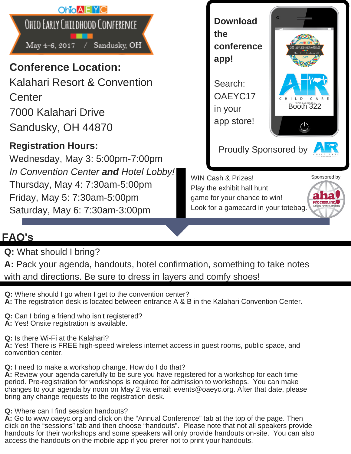

## **FAQ's**

**Q:** What should I bring?

| A: Pack your agenda, handouts, hotel confirmation, something to take notes |  |
|----------------------------------------------------------------------------|--|
| with and directions. Be sure to dress in layers and comfy shoes!           |  |

**Q:** Where should I go when I get to the convention center? **A:** The registration desk is located between entrance A & B in the Kalahari Convention Center.

**Q:** Can I bring a friend who isn't registered?

**A:** Yes! Onsite registration is available.

**Q:** Is there Wi-Fi at the Kalahari?

**A:** Yes! There is FREE high-speed wireless internet access in guest rooms, public space, and convention center.

**Q:** I need to make a workshop change. How do I do that?

**A:** Review your agenda carefully to be sure you have registered for a workshop for each time period. Pre-registration for workshops is required for admission to workshops. You can make changes to your agenda by noon on May 2 via email: events@oaeyc.org. After that date, please bring any change requests to the registration desk.

**Q:** Where can I find session handouts?

**A:** Go to www.oaeyc.org and click on the "Annual Conference" tab at the top of the page. Then click on the "sessions" tab and then choose "handouts". Please note that not all speakers provide handouts for their workshops and some speakers will only provide handouts on-site. You can also access the handouts on the mobile app if you prefer not to print your handouts.